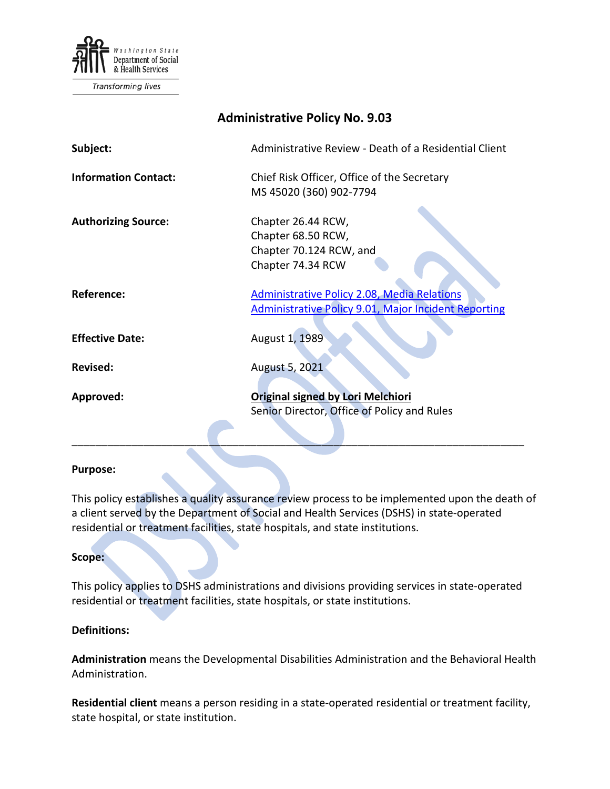

Transforming lives

| <b>Administrative Policy No. 9.03</b> |                                                                                                                   |
|---------------------------------------|-------------------------------------------------------------------------------------------------------------------|
| Subject:                              | Administrative Review - Death of a Residential Client                                                             |
| <b>Information Contact:</b>           | Chief Risk Officer, Office of the Secretary<br>MS 45020 (360) 902-7794                                            |
| <b>Authorizing Source:</b>            | Chapter 26.44 RCW,<br>Chapter 68.50 RCW,<br>Chapter 70.124 RCW, and<br>Chapter 74.34 RCW                          |
| Reference:                            | <b>Administrative Policy 2.08, Media Relations</b><br><b>Administrative Policy 9.01, Major Incident Reporting</b> |
| <b>Effective Date:</b>                | August 1, 1989                                                                                                    |
| <b>Revised:</b>                       | August 5, 2021                                                                                                    |
| Approved:                             | Original signed by Lori Melchiori<br>Senior Director, Office of Policy and Rules                                  |

#### **Purpose:**

This policy establishes a quality assurance review process to be implemented upon the death of a client served by the Department of Social and Health Services (DSHS) in state-operated residential or treatment facilities, state hospitals, and state institutions.

#### **Scope:**

This policy applies to DSHS administrations and divisions providing services in state-operated residential or treatment facilities, state hospitals, or state institutions.

#### **Definitions:**

**Administration** means the Developmental Disabilities Administration and the Behavioral Health Administration.

**Residential client** means a person residing in a state-operated residential or treatment facility, state hospital, or state institution.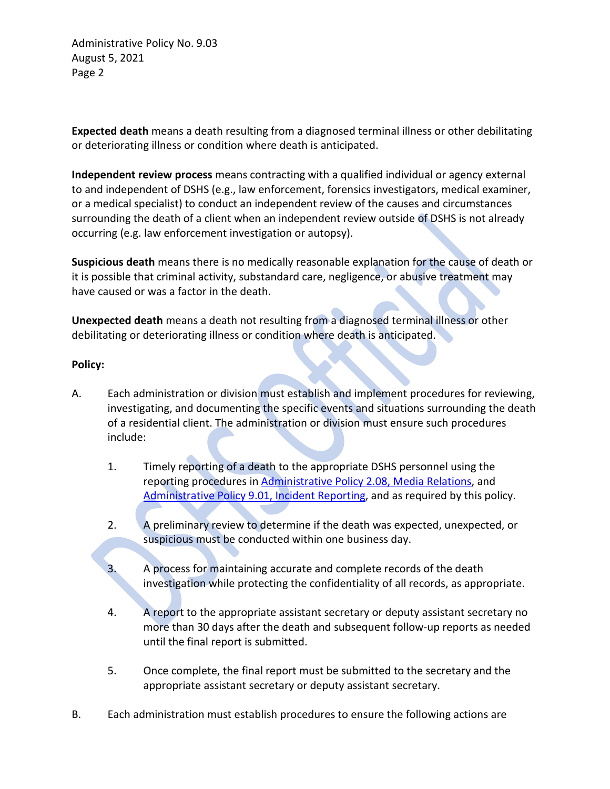Administrative Policy No. 9.03 August 5, 2021 Page 2

**Expected death** means a death resulting from a diagnosed terminal illness or other debilitating or deteriorating illness or condition where death is anticipated.

**Independent review process** means contracting with a qualified individual or agency external to and independent of DSHS (e.g., law enforcement, forensics investigators, medical examiner, or a medical specialist) to conduct an independent review of the causes and circumstances surrounding the death of a client when an independent review outside of DSHS is not already occurring (e.g. law enforcement investigation or autopsy).

**Suspicious death** means there is no medically reasonable explanation for the cause of death or it is possible that criminal activity, substandard care, negligence, or abusive treatment may have caused or was a factor in the death.

**Unexpected death** means a death not resulting from a diagnosed terminal illness or other debilitating or deteriorating illness or condition where death is anticipated.

### **Policy:**

- A. Each administration or division must establish and implement procedures for reviewing, investigating, and documenting the specific events and situations surrounding the death of a residential client. The administration or division must ensure such procedures include:
	- 1. Timely reporting of a death to the appropriate DSHS personnel using the reporting procedures in [Administrative Policy 2.08, Media Relations,](http://asd.dshs.wa.gov/RPAU/documents/Admin-Policy/02-08.htm) and [Administrative Policy 9.01, Incident Reporting,](http://asd.dshs.wa.gov/RPAU/documents/Admin-Policy/09-01.htm) and as required by this policy.
	- 2. A preliminary review to determine if the death was expected, unexpected, or suspicious must be conducted within one business day.
	- 3. A process for maintaining accurate and complete records of the death investigation while protecting the confidentiality of all records, as appropriate.
	- 4. A report to the appropriate assistant secretary or deputy assistant secretary no more than 30 days after the death and subsequent follow-up reports as needed until the final report is submitted.
	- 5. Once complete, the final report must be submitted to the secretary and the appropriate assistant secretary or deputy assistant secretary.
- B. Each administration must establish procedures to ensure the following actions are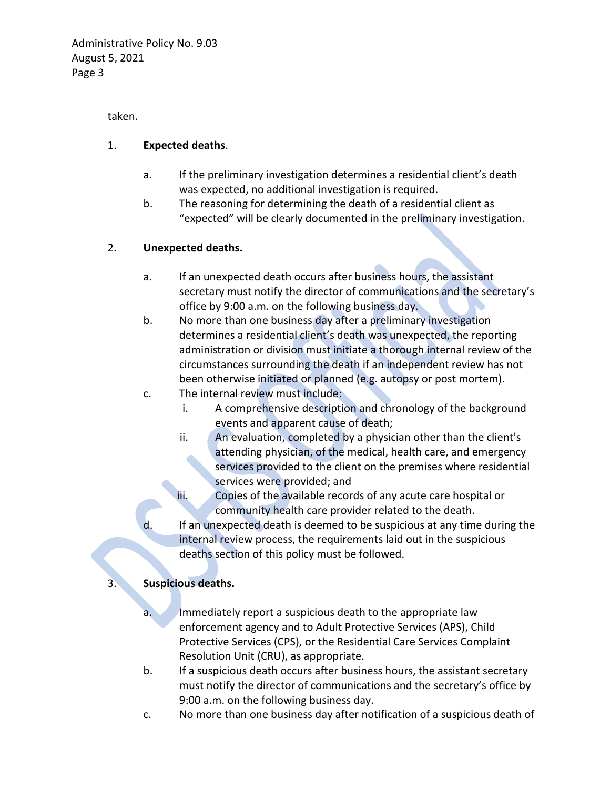taken.

## 1. **Expected deaths**.

- a. If the preliminary investigation determines a residential client's death was expected, no additional investigation is required.
- b. The reasoning for determining the death of a residential client as "expected" will be clearly documented in the preliminary investigation.

# 2. **Unexpected deaths.**

- a. If an unexpected death occurs after business hours, the assistant secretary must notify the director of communications and the secretary's office by 9:00 a.m. on the following business day.
- b. No more than one business day after a preliminary investigation determines a residential client's death was unexpected, the reporting administration or division must initiate a thorough internal review of the circumstances surrounding the death if an independent review has not been otherwise initiated or planned (e.g. autopsy or post mortem).
- c. The internal review must include:
	- i. A comprehensive description and chronology of the background events and apparent cause of death;
	- ii. An evaluation, completed by a physician other than the client's attending physician, of the medical, health care, and emergency services provided to the client on the premises where residential services were provided; and
	- iii. Copies of the available records of any acute care hospital or community health care provider related to the death.
- d. If an unexpected death is deemed to be suspicious at any time during the internal review process, the requirements laid out in the suspicious deaths section of this policy must be followed.

# 3. **Suspicious deaths.**

- a. Immediately report a suspicious death to the appropriate law enforcement agency and to Adult Protective Services (APS), Child Protective Services (CPS), or the Residential Care Services Complaint Resolution Unit (CRU), as appropriate.
- b. If a suspicious death occurs after business hours, the assistant secretary must notify the director of communications and the secretary's office by 9:00 a.m. on the following business day.
- c. No more than one business day after notification of a suspicious death of